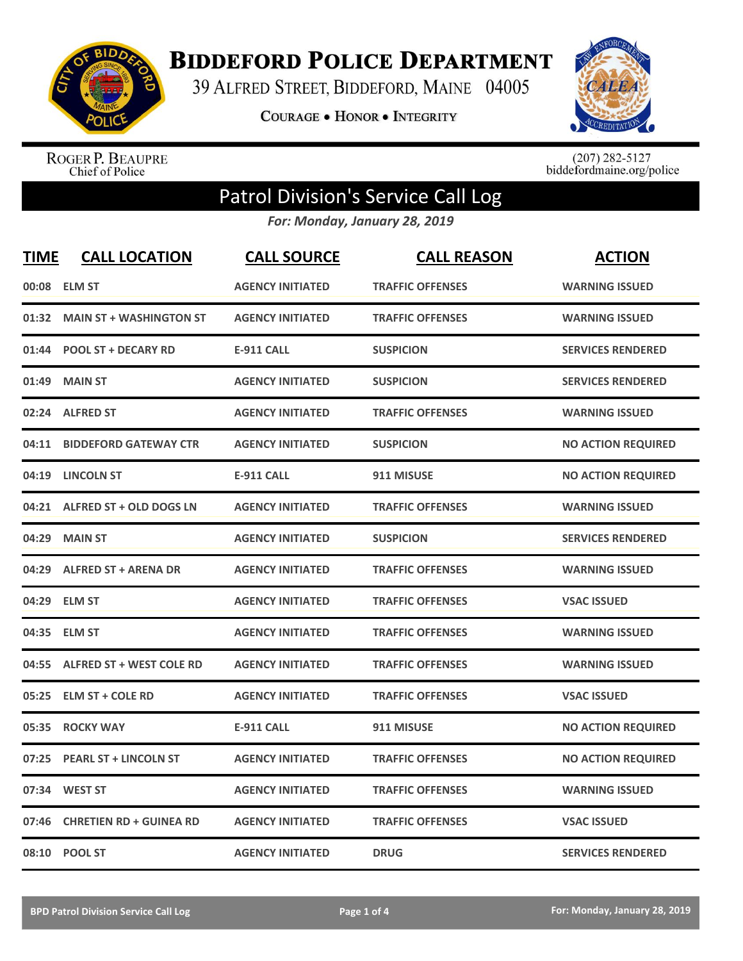

**BIDDEFORD POLICE DEPARTMENT** 

39 ALFRED STREET, BIDDEFORD, MAINE 04005

**COURAGE . HONOR . INTEGRITY** 



ROGER P. BEAUPRE<br>Chief of Police

 $(207)$  282-5127<br>biddefordmaine.org/police

## Patrol Division's Service Call Log

*For: Monday, January 28, 2019*

| <b>TIME</b> | <b>CALL LOCATION</b>            | <b>CALL SOURCE</b>      | <b>CALL REASON</b>      | <b>ACTION</b>             |
|-------------|---------------------------------|-------------------------|-------------------------|---------------------------|
| 00:08       | <b>ELM ST</b>                   | <b>AGENCY INITIATED</b> | <b>TRAFFIC OFFENSES</b> | <b>WARNING ISSUED</b>     |
| 01:32       | <b>MAIN ST + WASHINGTON ST</b>  | <b>AGENCY INITIATED</b> | <b>TRAFFIC OFFENSES</b> | <b>WARNING ISSUED</b>     |
| 01:44       | <b>POOL ST + DECARY RD</b>      | <b>E-911 CALL</b>       | <b>SUSPICION</b>        | <b>SERVICES RENDERED</b>  |
| 01:49       | <b>MAIN ST</b>                  | <b>AGENCY INITIATED</b> | <b>SUSPICION</b>        | <b>SERVICES RENDERED</b>  |
| 02:24       | <b>ALFRED ST</b>                | <b>AGENCY INITIATED</b> | <b>TRAFFIC OFFENSES</b> | <b>WARNING ISSUED</b>     |
| 04:11       | <b>BIDDEFORD GATEWAY CTR</b>    | <b>AGENCY INITIATED</b> | <b>SUSPICION</b>        | <b>NO ACTION REQUIRED</b> |
| 04:19       | <b>LINCOLN ST</b>               | E-911 CALL              | 911 MISUSE              | <b>NO ACTION REQUIRED</b> |
| 04:21       | ALFRED ST + OLD DOGS LN         | <b>AGENCY INITIATED</b> | <b>TRAFFIC OFFENSES</b> | <b>WARNING ISSUED</b>     |
| 04:29       | <b>MAIN ST</b>                  | <b>AGENCY INITIATED</b> | <b>SUSPICION</b>        | <b>SERVICES RENDERED</b>  |
| 04:29       | <b>ALFRED ST + ARENA DR</b>     | <b>AGENCY INITIATED</b> | <b>TRAFFIC OFFENSES</b> | <b>WARNING ISSUED</b>     |
|             | 04:29 ELM ST                    | <b>AGENCY INITIATED</b> | <b>TRAFFIC OFFENSES</b> | <b>VSAC ISSUED</b>        |
| 04:35       | <b>ELM ST</b>                   | <b>AGENCY INITIATED</b> | <b>TRAFFIC OFFENSES</b> | <b>WARNING ISSUED</b>     |
| 04:55       | <b>ALFRED ST + WEST COLE RD</b> | <b>AGENCY INITIATED</b> | <b>TRAFFIC OFFENSES</b> | <b>WARNING ISSUED</b>     |
| 05:25       | <b>ELM ST + COLE RD</b>         | <b>AGENCY INITIATED</b> | <b>TRAFFIC OFFENSES</b> | <b>VSAC ISSUED</b>        |
| 05:35       | <b>ROCKY WAY</b>                | <b>E-911 CALL</b>       | 911 MISUSE              | <b>NO ACTION REQUIRED</b> |
| 07:25       | <b>PEARL ST + LINCOLN ST</b>    | <b>AGENCY INITIATED</b> | <b>TRAFFIC OFFENSES</b> | <b>NO ACTION REQUIRED</b> |
| 07:34       | <b>WEST ST</b>                  | <b>AGENCY INITIATED</b> | <b>TRAFFIC OFFENSES</b> | <b>WARNING ISSUED</b>     |
| 07:46       | <b>CHRETIEN RD + GUINEA RD</b>  | <b>AGENCY INITIATED</b> | <b>TRAFFIC OFFENSES</b> | <b>VSAC ISSUED</b>        |
|             | 08:10 POOL ST                   | <b>AGENCY INITIATED</b> | <b>DRUG</b>             | <b>SERVICES RENDERED</b>  |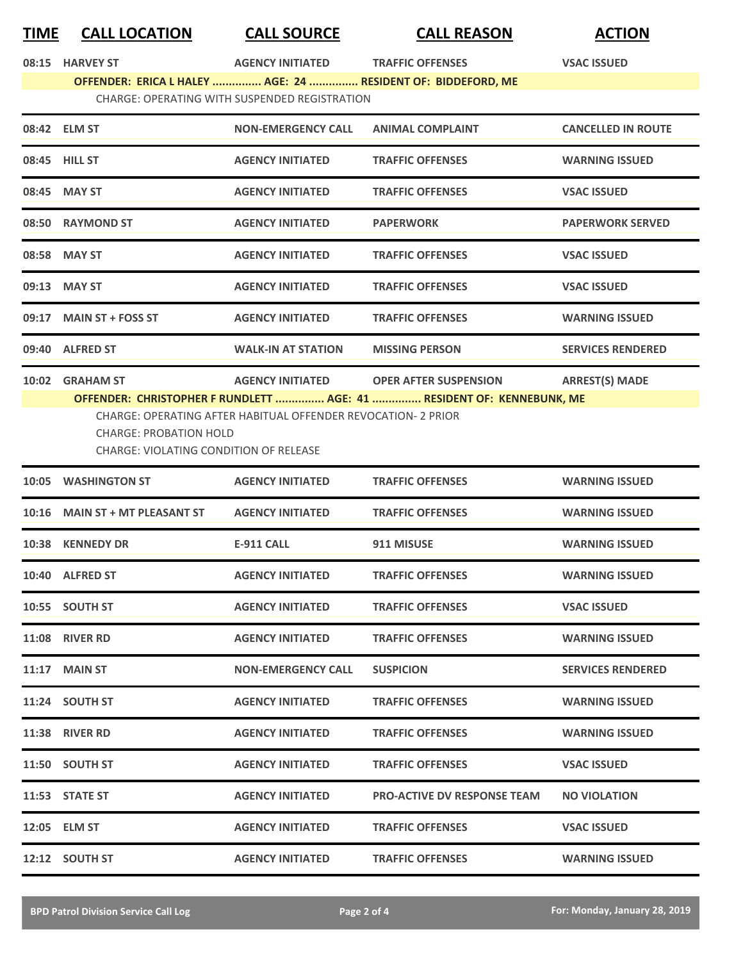| TIME  | <b>CALL LOCATION</b>                                                           | <b>CALL SOURCE</b>                                            | <b>CALL REASON</b>                                                                                    | <b>ACTION</b>             |  |  |  |
|-------|--------------------------------------------------------------------------------|---------------------------------------------------------------|-------------------------------------------------------------------------------------------------------|---------------------------|--|--|--|
|       | 08:15 HARVEY ST                                                                | <b>AGENCY INITIATED</b>                                       | <b>TRAFFIC OFFENSES</b>                                                                               | <b>VSAC ISSUED</b>        |  |  |  |
|       |                                                                                |                                                               | OFFENDER: ERICA L HALEY  AGE: 24  RESIDENT OF: BIDDEFORD, ME                                          |                           |  |  |  |
|       | CHARGE: OPERATING WITH SUSPENDED REGISTRATION                                  |                                                               |                                                                                                       |                           |  |  |  |
|       | 08:42 ELM ST                                                                   | <b>NON-EMERGENCY CALL</b>                                     | <b>ANIMAL COMPLAINT</b>                                                                               | <b>CANCELLED IN ROUTE</b> |  |  |  |
|       | 08:45 HILL ST                                                                  | <b>AGENCY INITIATED</b>                                       | <b>TRAFFIC OFFENSES</b>                                                                               | <b>WARNING ISSUED</b>     |  |  |  |
|       | 08:45 MAY ST                                                                   | <b>AGENCY INITIATED</b>                                       | <b>TRAFFIC OFFENSES</b>                                                                               | <b>VSAC ISSUED</b>        |  |  |  |
|       | 08:50 RAYMOND ST                                                               | <b>AGENCY INITIATED</b>                                       | <b>PAPERWORK</b>                                                                                      | <b>PAPERWORK SERVED</b>   |  |  |  |
|       | 08:58 MAY ST                                                                   | <b>AGENCY INITIATED</b>                                       | <b>TRAFFIC OFFENSES</b>                                                                               | <b>VSAC ISSUED</b>        |  |  |  |
|       | 09:13 MAY ST                                                                   | <b>AGENCY INITIATED</b>                                       | <b>TRAFFIC OFFENSES</b>                                                                               | <b>VSAC ISSUED</b>        |  |  |  |
|       | 09:17 MAIN ST + FOSS ST                                                        | <b>AGENCY INITIATED</b>                                       | <b>TRAFFIC OFFENSES</b>                                                                               | <b>WARNING ISSUED</b>     |  |  |  |
|       | 09:40 ALFRED ST                                                                | <b>WALK-IN AT STATION</b>                                     | <b>MISSING PERSON</b>                                                                                 | <b>SERVICES RENDERED</b>  |  |  |  |
|       | 10:02 GRAHAM ST                                                                | <b>AGENCY INITIATED</b>                                       | <b>OPER AFTER SUSPENSION</b><br>OFFENDER: CHRISTOPHER F RUNDLETT  AGE: 41  RESIDENT OF: KENNEBUNK, ME | <b>ARREST(S) MADE</b>     |  |  |  |
|       | <b>CHARGE: PROBATION HOLD</b><br><b>CHARGE: VIOLATING CONDITION OF RELEASE</b> | CHARGE: OPERATING AFTER HABITUAL OFFENDER REVOCATION- 2 PRIOR |                                                                                                       |                           |  |  |  |
| 10:05 | <b>WASHINGTON ST</b>                                                           | <b>AGENCY INITIATED</b>                                       | <b>TRAFFIC OFFENSES</b>                                                                               | <b>WARNING ISSUED</b>     |  |  |  |
|       | 10:16 MAIN ST + MT PLEASANT ST                                                 | <b>AGENCY INITIATED</b>                                       | <b>TRAFFIC OFFENSES</b>                                                                               | <b>WARNING ISSUED</b>     |  |  |  |
|       | 10:38 KENNEDY DR                                                               | <b>E-911 CALL</b>                                             | 911 MISUSE                                                                                            | <b>WARNING ISSUED</b>     |  |  |  |
|       | 10:40 ALFRED ST                                                                | <b>AGENCY INITIATED</b>                                       | <b>TRAFFIC OFFENSES</b>                                                                               | <b>WARNING ISSUED</b>     |  |  |  |
|       | 10:55 SOUTH ST                                                                 | <b>AGENCY INITIATED</b>                                       | <b>TRAFFIC OFFENSES</b>                                                                               | <b>VSAC ISSUED</b>        |  |  |  |
|       | <b>11:08 RIVER RD</b>                                                          | <b>AGENCY INITIATED</b>                                       | <b>TRAFFIC OFFENSES</b>                                                                               | <b>WARNING ISSUED</b>     |  |  |  |
|       | $11:17$ MAIN ST                                                                | <b>NON-EMERGENCY CALL</b>                                     | <b>SUSPICION</b>                                                                                      | <b>SERVICES RENDERED</b>  |  |  |  |
|       | 11:24 SOUTH ST                                                                 | <b>AGENCY INITIATED</b>                                       | <b>TRAFFIC OFFENSES</b>                                                                               | <b>WARNING ISSUED</b>     |  |  |  |
|       | <b>11:38 RIVER RD</b>                                                          | <b>AGENCY INITIATED</b>                                       | <b>TRAFFIC OFFENSES</b>                                                                               | <b>WARNING ISSUED</b>     |  |  |  |
|       | 11:50 SOUTH ST                                                                 | <b>AGENCY INITIATED</b>                                       | <b>TRAFFIC OFFENSES</b>                                                                               | <b>VSAC ISSUED</b>        |  |  |  |
|       | 11:53 STATE ST                                                                 | <b>AGENCY INITIATED</b>                                       | <b>PRO-ACTIVE DV RESPONSE TEAM</b>                                                                    | <b>NO VIOLATION</b>       |  |  |  |
|       | 12:05 ELM ST                                                                   | <b>AGENCY INITIATED</b>                                       | <b>TRAFFIC OFFENSES</b>                                                                               | <b>VSAC ISSUED</b>        |  |  |  |
|       | 12:12 SOUTH ST                                                                 | <b>AGENCY INITIATED</b>                                       | <b>TRAFFIC OFFENSES</b>                                                                               | <b>WARNING ISSUED</b>     |  |  |  |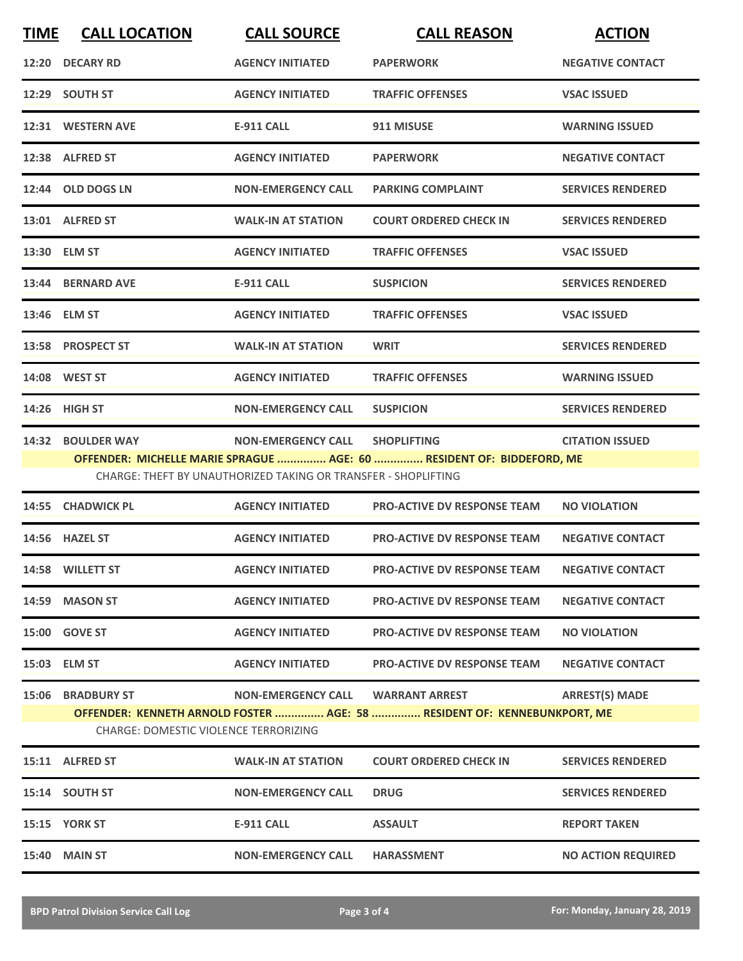| <b>TIME</b> | <b>CALL LOCATION</b>                         | <b>CALL SOURCE</b>                                             | <b>CALL REASON</b>                                                       | <b>ACTION</b>             |
|-------------|----------------------------------------------|----------------------------------------------------------------|--------------------------------------------------------------------------|---------------------------|
|             | 12:20 DECARY RD                              | <b>AGENCY INITIATED</b>                                        | <b>PAPERWORK</b>                                                         | <b>NEGATIVE CONTACT</b>   |
|             | 12:29 SOUTH ST                               | <b>AGENCY INITIATED</b>                                        | <b>TRAFFIC OFFENSES</b>                                                  | <b>VSAC ISSUED</b>        |
|             | 12:31 WESTERN AVE                            | E-911 CALL                                                     | 911 MISUSE                                                               | <b>WARNING ISSUED</b>     |
|             | 12:38 ALFRED ST                              | <b>AGENCY INITIATED</b>                                        | <b>PAPERWORK</b>                                                         | <b>NEGATIVE CONTACT</b>   |
|             | 12:44 OLD DOGS LN                            | <b>NON-EMERGENCY CALL</b>                                      | <b>PARKING COMPLAINT</b>                                                 | <b>SERVICES RENDERED</b>  |
|             | 13:01 ALFRED ST                              | <b>WALK-IN AT STATION</b>                                      | <b>COURT ORDERED CHECK IN</b>                                            | <b>SERVICES RENDERED</b>  |
|             | 13:30 ELM ST                                 | <b>AGENCY INITIATED</b>                                        | <b>TRAFFIC OFFENSES</b>                                                  | <b>VSAC ISSUED</b>        |
|             | 13:44 BERNARD AVE                            | E-911 CALL                                                     | <b>SUSPICION</b>                                                         | <b>SERVICES RENDERED</b>  |
|             | 13:46 ELM ST                                 | <b>AGENCY INITIATED</b>                                        | <b>TRAFFIC OFFENSES</b>                                                  | <b>VSAC ISSUED</b>        |
|             | 13:58 PROSPECT ST                            | <b>WALK-IN AT STATION</b>                                      | <b>WRIT</b>                                                              | <b>SERVICES RENDERED</b>  |
|             | 14:08 WEST ST                                | <b>AGENCY INITIATED</b>                                        | <b>TRAFFIC OFFENSES</b>                                                  | <b>WARNING ISSUED</b>     |
|             | 14:26 HIGH ST                                | <b>NON-EMERGENCY CALL</b>                                      | <b>SUSPICION</b>                                                         | <b>SERVICES RENDERED</b>  |
| 14:32       | <b>BOULDER WAY</b>                           | <b>NON-EMERGENCY CALL</b>                                      | <b>SHOPLIFTING</b>                                                       | <b>CITATION ISSUED</b>    |
|             |                                              | CHARGE: THEFT BY UNAUTHORIZED TAKING OR TRANSFER - SHOPLIFTING | OFFENDER: MICHELLE MARIE SPRAGUE  AGE: 60  RESIDENT OF: BIDDEFORD, ME    |                           |
|             | 14:55 CHADWICK PL                            | <b>AGENCY INITIATED</b>                                        | <b>PRO-ACTIVE DV RESPONSE TEAM</b>                                       | <b>NO VIOLATION</b>       |
|             | 14:56 HAZEL ST                               | <b>AGENCY INITIATED</b>                                        | <b>PRO-ACTIVE DV RESPONSE TEAM</b>                                       | <b>NEGATIVE CONTACT</b>   |
|             | 14:58 WILLETT ST                             | <b>AGENCY INITIATED</b>                                        | <b>PRO-ACTIVE DV RESPONSE TEAM</b>                                       | <b>NEGATIVE CONTACT</b>   |
|             | 14:59 MASON ST                               | <b>AGENCY INITIATED</b>                                        | <b>PRO-ACTIVE DV RESPONSE TEAM</b>                                       | <b>NEGATIVE CONTACT</b>   |
|             | 15:00 GOVE ST                                | <b>AGENCY INITIATED</b>                                        | <b>PRO-ACTIVE DV RESPONSE TEAM</b>                                       | <b>NO VIOLATION</b>       |
|             | 15:03 ELM ST                                 | <b>AGENCY INITIATED</b>                                        | <b>PRO-ACTIVE DV RESPONSE TEAM</b>                                       | <b>NEGATIVE CONTACT</b>   |
| 15:06       | <b>BRADBURY ST</b>                           | <b>NON-EMERGENCY CALL</b>                                      | <b>WARRANT ARREST</b>                                                    | <b>ARREST(S) MADE</b>     |
|             | <b>CHARGE: DOMESTIC VIOLENCE TERRORIZING</b> |                                                                | OFFENDER: KENNETH ARNOLD FOSTER  AGE: 58  RESIDENT OF: KENNEBUNKPORT, ME |                           |
|             | 15:11 ALFRED ST                              | <b>WALK-IN AT STATION</b>                                      | <b>COURT ORDERED CHECK IN</b>                                            | <b>SERVICES RENDERED</b>  |
|             | 15:14 SOUTH ST                               | <b>NON-EMERGENCY CALL</b>                                      | <b>DRUG</b>                                                              | <b>SERVICES RENDERED</b>  |
|             | <b>15:15 YORK ST</b>                         | <b>E-911 CALL</b>                                              | <b>ASSAULT</b>                                                           | <b>REPORT TAKEN</b>       |
|             | <b>15:40 MAIN ST</b>                         | <b>NON-EMERGENCY CALL</b>                                      | <b>HARASSMENT</b>                                                        | <b>NO ACTION REQUIRED</b> |